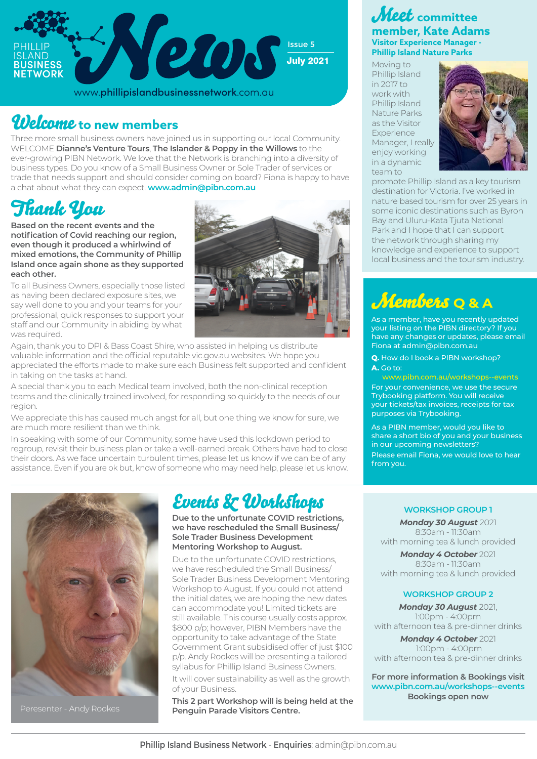

www.phillipislandbusinessnetwork.com.au

## Welcome **to new members**

Three more small business owners have joined us in supporting our local Community. WELCOME **Dianne's Venture Tours**, **The Islander & Poppy in the Willows** to the ever-growing PIBN Network. We love that the Network is branching into a diversity of business types. Do you know of a Small Business Owner or Sole Trader of services or trade that needs support and should consider coming on board? Fiona is happy to have a chat about what they can expect. **www.admin@pibn.com.au**

# Thank You

**Based on the recent events and the notification of Covid reaching our region, even though it produced a whirlwind of mixed emotions, the Community of Phillip Island once again shone as they supported each other.** 

To all Business Owners, especially those listed as having been declared exposure sites, we say well done to you and your teams for your professional, quick responses to support your staff and our Community in abiding by what was required.



Again, thank you to DPI & Bass Coast Shire, who assisted in helping us distribute valuable information and the official reputable vic.gov.au websites. We hope you appreciated the efforts made to make sure each Business felt supported and confident in taking on the tasks at hand.

A special thank you to each Medical team involved, both the non-clinical reception teams and the clinically trained involved, for responding so quickly to the needs of our region.

We appreciate this has caused much angst for all, but one thing we know for sure, we are much more resilient than we think.

In speaking with some of our Community, some have used this lockdown period to regroup, revisit their business plan or take a well-earned break. Others have had to close their doors. As we face uncertain turbulent times, please let us know if we can be of any assistance. Even if you are ok but, know of someone who may need help, please let us know.



Peresenter - Andy Rookes

## Events & Workshops

**Due to the unfortunate COVID restrictions, we have rescheduled the Small Business/ Sole Trader Business Development Mentoring Workshop to August.** 

Due to the unfortunate COVID restrictions, we have rescheduled the Small Business/ Sole Trader Business Development Mentoring Workshop to August. If you could not attend the initial dates, we are hoping the new dates can accommodate you! Limited tickets are still available. This course usually costs approx. \$800 p/p; however, PIBN Members have the opportunity to take advantage of the State Government Grant subsidised offer of just \$100 p/p. Andy Rookes will be presenting a tailored syllabus for Phillip Island Business Owners. It will cover sustainability as well as the growth of your Business.

**This 2 part Workshop will is being held at the Penguin Parade Visitors Centre.**

## Meet **committee member, Kate Adams Visitor Experience Manager - Phillip Island Nature Parks**

Moving to Phillip Island in 2017 to work with Phillip Island Nature Parks as the Visitor Experience Manager, I really enjoy working in a dynamic team to



promote Phillip Island as a key tourism destination for Victoria. I've worked in nature based tourism for over 25 years in some iconic destinations such as Byron Bay and Uluru-Kata Tjuta National Park and I hope that I can support the network through sharing my knowledge and experience to support local business and the tourism industry.

## Members **Q & A**

As a member, have you recently updated your listing on the PIBN directory? If you have any changes or updates, please email Fiona at admin@pibn.com.au

**Q.** How do I book a PIBN workshop? **A.** Go to:

www.pibn.com.au/workshops--events For your convenience, we use the secure Trybooking platform. You will receive your tickets/tax invoices, receipts for tax purposes via Trybooking.

As a PIBN member, would you like to share a short bio of you and your business in our upcoming newsletters? Please email Fiona, we would love to hear from you.

## **WORKSHOP GROUP 1**

*Monday 30 August* 2021 8:30am - 11:30am with morning tea & lunch provided

*Monday 4 October* 2021 8:30am - 11:30am with morning tea & lunch provided

### **WORKSHOP GROUP 2**

*Monday 30 August* 2021, 1:00pm - 4:00pm with afternoon tea & pre-dinner drinks *Monday 4 October* 2021

 1:00pm - 4:00pm with afternoon tea & pre-dinner drinks

**For more information & Bookings visit www.pibn.com.au/workshops--events Bookings open now**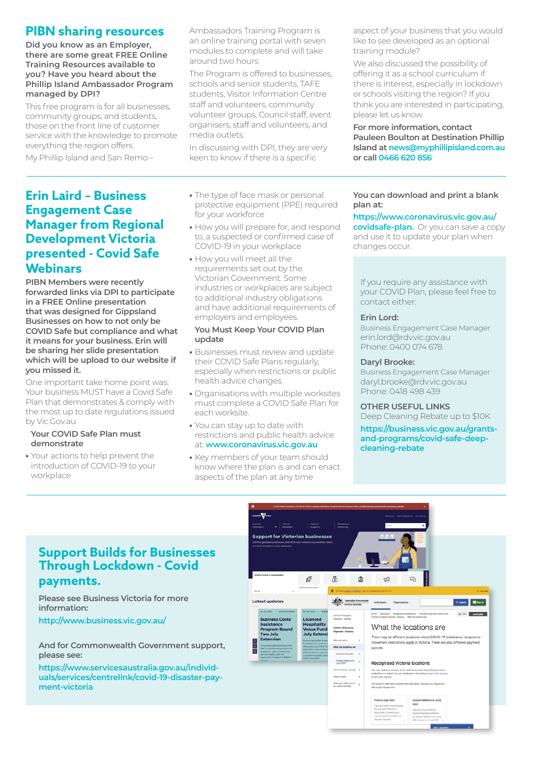## **PIBN sharing resources**

**Did you know as an Employer, there are some great FREE Online Training Resources available to you? Have you heard about the Phillip Island Ambassador Program managed by DPI?**

This free program is for all businesses, community groups, and students, those on the front line of customer service with the knowledge to promote everything the region offers.

My Phillip Island and San Remo –

## **Erin Laird – Business Engagement Case Manager from Regional Development Victoria presented - Covid Safe Webinars**

**PIBN Members were recently forwarded links via DPI to participate in a FREE Online presentation that was designed for Gippsland Businesses on how to not only be COVID Safe but compliance and what it means for your business. Erin will be sharing her slide presentation which will be upload to our website if you missed it.**

One important take home point was: Your business MUST have a Covid Safe Plan that demonstrates & comply with the most up to date regulations issued by Vic.Gov.au

### **Your COVID Safe Plan must demonstrate**

**•** Your actions to help prevent the introduction of COVID-19 to your workplace

Ambassadors Training Program is an online training portal with seven modules to complete and will take around two hours.

The Program is offered to businesses, schools and senior students, TAFE students, Visitor Information Centre staff and volunteers, community volunteer groups, Council staff, event organisers, staff and volunteers, and media outlets.

In discussing with DPI, they are very keen to know if there is a specific

- **•** The type of face mask or personal protective equipment (PPE) required for your workforce
- **•** How you will prepare for, and respond to, a suspected or confirmed case of COVID-19 in your workplace
- **•** How you will meet all the requirements set out by the Victorian Government. Some industries or workplaces are subject to additional industry obligations and have additional requirements of employers and employees.

#### **You Must Keep Your COVID Plan update**

- **•** Businesses must review and update their COVID Safe Plans regularly, especially when restrictions or public health advice changes.
- **•** Organisations with multiple worksites must complete a COVID Safe Plan for each worksite.
- **•** You can stay up to date with restrictions and public health advice at: **www.coronavirus.vic.gov.au**
- **•** Key members of your team should know where the plan is and can enact aspects of the plan at any time

aspect of your business that you would like to see developed as an optional training module?

We also discussed the possibility of offering it as a school curriculum if there is interest, especially in lockdown or schools visiting the region? If you think you are interested in participating, please let us know.

**For more information, contact Pauleen Boulton at Destination Phillip Island at news@myphillipisland.com.au or call 0466 620 856**

### **You can download and print a blank plan at:**

**https://www.coronavirus.vic.gov.au/ covidsafe-plan.** Or you can save a copy and use it to update your plan when changes occur.

If you require any assistance with your COVID Plan, please feel free to contact either:

#### **Erin Lord:**

Business Engagement Case Manager erin.lord@rdv.vic.gov.au Phone: 0400 074 678

#### **Daryl Brooke:**

Business Engagement Case Manager daryl.brooke@rdv.vic.gov.au Phone: 0418 498 439

**OTHER USEFUL LINKS**

Deep Cleaning Rebate up to \$10K

**https://business.vic.gov.au/grantsand-programs/covid-safe-deepcleaning-rebate**

## **Support Builds for Businesses Through Lockdown - Covid payments.**

**Please see Business Victoria for more information:**

**http://www.business.vic.gov.au/**

#### **And for Commonwealth Government support, please see:**

**https://www.servicesaustralia.gov.au/individuals/services/centrelink/covid-19-disaster-payment-victoria**